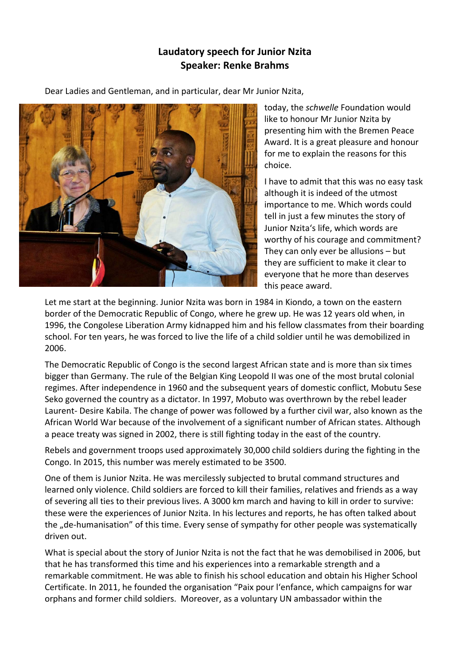## **Laudatory speech for Junior Nzita Speaker: Renke Brahms**

Dear Ladies and Gentleman, and in particular, dear Mr Junior Nzita,



today, the *schwelle* Foundation would like to honour Mr Junior Nzita by presenting him with the Bremen Peace Award. It is a great pleasure and honour for me to explain the reasons for this choice.

I have to admit that this was no easy task although it is indeed of the utmost importance to me. Which words could tell in just a few minutes the story of Junior Nzita's life, which words are worthy of his courage and commitment? They can only ever be allusions – but they are sufficient to make it clear to everyone that he more than deserves this peace award.

Let me start at the beginning. Junior Nzita was born in 1984 in Kiondo, a town on the eastern border of the Democratic Republic of Congo, where he grew up. He was 12 years old when, in 1996, the Congolese Liberation Army kidnapped him and his fellow classmates from their boarding school. For ten years, he was forced to live the life of a child soldier until he was demobilized in 2006.

The Democratic Republic of Congo is the second largest African state and is more than six times bigger than Germany. The rule of the Belgian King Leopold II was one of the most brutal colonial regimes. After independence in 1960 and the subsequent years of domestic conflict, Mobutu Sese Seko governed the country as a dictator. In 1997, Mobuto was overthrown by the rebel leader Laurent‐ Desire Kabila. The change of power was followed by a further civil war, also known as the African World War because of the involvement of a significant number of African states. Although a peace treaty was signed in 2002, there is still fighting today in the east of the country.

Rebels and government troops used approximately 30,000 child soldiers during the fighting in the Congo. In 2015, this number was merely estimated to be 3500.

One of them is Junior Nzita. He was mercilessly subjected to brutal command structures and learned only violence. Child soldiers are forced to kill their families, relatives and friends as a way of severing all ties to their previous lives. A 3000 km march and having to kill in order to survive: these were the experiences of Junior Nzita. In his lectures and reports, he has often talked about the "de-humanisation" of this time. Every sense of sympathy for other people was systematically driven out.

What is special about the story of Junior Nzita is not the fact that he was demobilised in 2006, but that he has transformed this time and his experiences into a remarkable strength and a remarkable commitment. He was able to finish his school education and obtain his Higher School Certificate. In 2011, he founded the organisation "Paix pour l'enfance, which campaigns for war orphans and former child soldiers. Moreover, as a voluntary UN ambassador within the